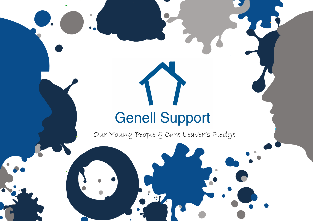## **Genell Support**

 $\triangle$ 

Our Young People & Care Leaver's Pledge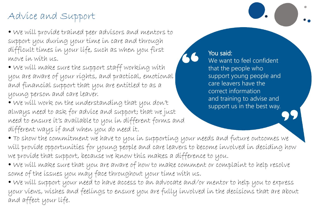## Advice and Support

• We will provide trained peer advisors and mentors to support you during your time in care and through difficult times in your life, such as when you first move in with us.

• We will make sure the support staff working with you are aware of your rights, and practical, emotional and financial support that you are entitled to as a young person and care leaver.

• We will work on the understanding that you don't always need to ask for advice and support; that we just need to ensure it's available to you in different forms and different ways if and when you do need it.

You said: We want to feel confident that the people who support young people and care leavers have the correct information and training to advise and support us in the best way.

• To show the commitment we have to you in supporting your needs and future outcomes we will provide opportunities for young people and care leavers to become involved in deciding how we provide that support, because we know this makes a difference to you.

• We will make sure that you are aware of how to make comment or complaint to help resolve some of the issues you may face throughout your time with us.

• We will support your need to have access to an advocate and/or mentor to help you to express your views, wishes and feelings to ensure you are fully involved in the decisions that are about and affect your life.